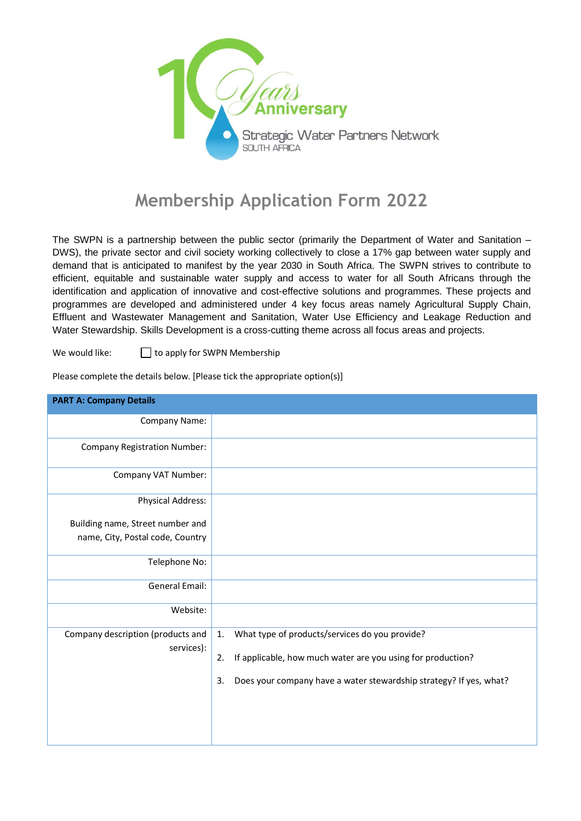

## **Membership Application Form 2022**

The SWPN is a partnership between the public sector (primarily the Department of Water and Sanitation – DWS), the private sector and civil society working collectively to close a 17% gap between water supply and demand that is anticipated to manifest by the year 2030 in South Africa. The SWPN strives to contribute to efficient, equitable and sustainable water supply and access to water for all South Africans through the identification and application of innovative and cost-effective solutions and programmes. These projects and programmes are developed and administered under 4 key focus areas namely Agricultural Supply Chain, Effluent and Wastewater Management and Sanitation, Water Use Efficiency and Leakage Reduction and Water Stewardship. Skills Development is a cross-cutting theme across all focus areas and projects.

We would like:  $\Box$  to apply for SWPN Membership

| <b>PART A: Company Details</b>      |                                                                          |  |  |  |
|-------------------------------------|--------------------------------------------------------------------------|--|--|--|
| Company Name:                       |                                                                          |  |  |  |
| <b>Company Registration Number:</b> |                                                                          |  |  |  |
| Company VAT Number:                 |                                                                          |  |  |  |
| <b>Physical Address:</b>            |                                                                          |  |  |  |
| Building name, Street number and    |                                                                          |  |  |  |
| name, City, Postal code, Country    |                                                                          |  |  |  |
| Telephone No:                       |                                                                          |  |  |  |
| <b>General Email:</b>               |                                                                          |  |  |  |
| Website:                            |                                                                          |  |  |  |
| Company description (products and   | What type of products/services do you provide?<br>1.                     |  |  |  |
| services):                          | If applicable, how much water are you using for production?<br>2.        |  |  |  |
|                                     | Does your company have a water stewardship strategy? If yes, what?<br>3. |  |  |  |
|                                     |                                                                          |  |  |  |

Please complete the details below. [Please tick the appropriate option(s)]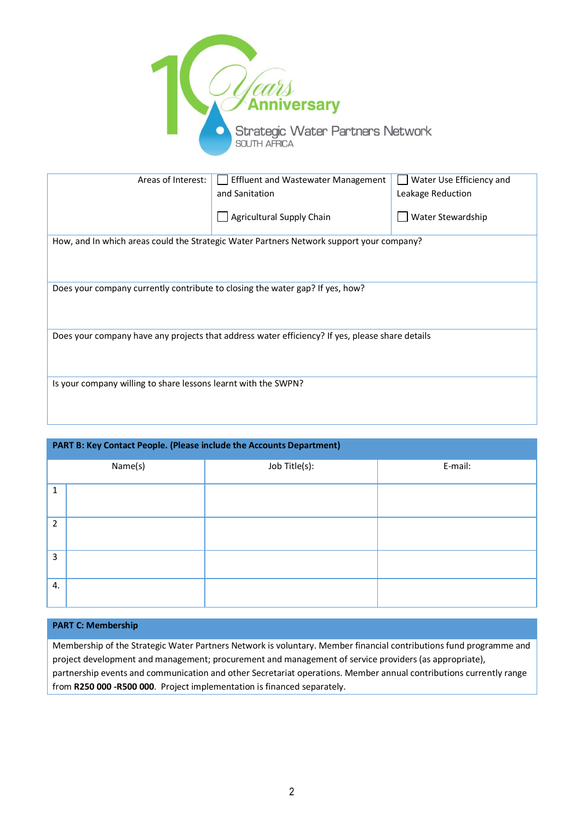

| Areas of Interest:                                                                              | <b>Effluent and Wastewater Management</b> | Water Use Efficiency and |  |  |  |
|-------------------------------------------------------------------------------------------------|-------------------------------------------|--------------------------|--|--|--|
|                                                                                                 | and Sanitation                            | Leakage Reduction        |  |  |  |
|                                                                                                 | Agricultural Supply Chain                 | Water Stewardship        |  |  |  |
| How, and In which areas could the Strategic Water Partners Network support your company?        |                                           |                          |  |  |  |
|                                                                                                 |                                           |                          |  |  |  |
|                                                                                                 |                                           |                          |  |  |  |
| Does your company currently contribute to closing the water gap? If yes, how?                   |                                           |                          |  |  |  |
|                                                                                                 |                                           |                          |  |  |  |
|                                                                                                 |                                           |                          |  |  |  |
|                                                                                                 |                                           |                          |  |  |  |
| Does your company have any projects that address water efficiency? If yes, please share details |                                           |                          |  |  |  |
|                                                                                                 |                                           |                          |  |  |  |
|                                                                                                 |                                           |                          |  |  |  |
| Is your company willing to share lessons learnt with the SWPN?                                  |                                           |                          |  |  |  |
|                                                                                                 |                                           |                          |  |  |  |
|                                                                                                 |                                           |                          |  |  |  |

| PART B: Key Contact People. (Please include the Accounts Department) |         |               |         |  |  |
|----------------------------------------------------------------------|---------|---------------|---------|--|--|
|                                                                      | Name(s) | Job Title(s): | E-mail: |  |  |
| 1                                                                    |         |               |         |  |  |
| $\overline{2}$                                                       |         |               |         |  |  |
| 3                                                                    |         |               |         |  |  |
| 4.                                                                   |         |               |         |  |  |

## **PART C: Membership**

Membership of the Strategic Water Partners Network is voluntary. Member financial contributions fund programme and project development and management; procurement and management of service providers (as appropriate), partnership events and communication and other Secretariat operations. Member annual contributions currently range from **R250 000 -R500 000**. Project implementation is financed separately.